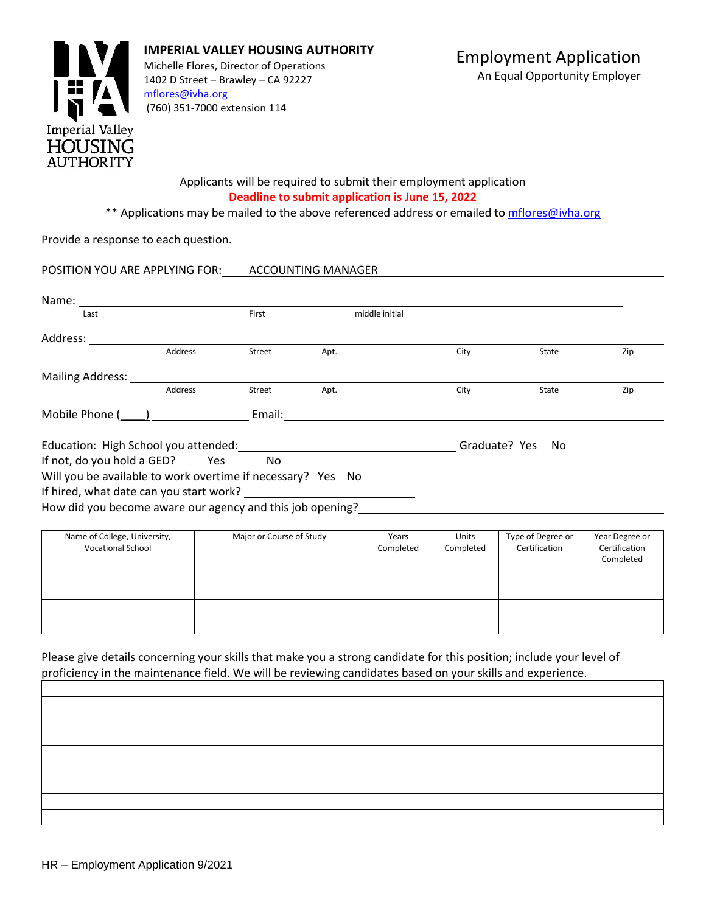

#### Applicants will be required to submit their employment application **Deadline to submit application is June 15, 2022**

\*\* Applications may be mailed to the above referenced address or emailed to *mflores@ivha.org* 

Provide a response to each question.

POSITION YOU ARE APPLYING FOR: ACCOUNTING MANAGER Name:

| Last                                                        |         | First  | middle initial |               |       |     |
|-------------------------------------------------------------|---------|--------|----------------|---------------|-------|-----|
| Address:                                                    |         |        |                |               |       |     |
|                                                             | Address | Street | Apt.           | City          | State | Zip |
| <b>Mailing Address:</b>                                     |         |        |                |               |       |     |
|                                                             | Address | Street | Apt.           | City          | State | Zip |
| Mobile Phone $\frac{1}{2}$                                  |         | Email: |                |               |       |     |
| Education: High School you attended:                        |         |        |                | Graduate? Yes | No    |     |
| If not, do you hold a GED?                                  | Yes     | No.    |                |               |       |     |
| Will you be available to work overtime if necessary? Yes No |         |        |                |               |       |     |
| If hired, what date can you start work?                     |         |        |                |               |       |     |
| How did you become aware our agency and this job opening?   |         |        |                |               |       |     |
|                                                             |         |        |                |               |       |     |

| Name of College, University,<br><b>Vocational School</b> | Major or Course of Study | Years<br>Completed | <b>Units</b><br>Completed | Type of Degree or<br>Certification | Year Degree or<br>Certification<br>Completed |
|----------------------------------------------------------|--------------------------|--------------------|---------------------------|------------------------------------|----------------------------------------------|
|                                                          |                          |                    |                           |                                    |                                              |
|                                                          |                          |                    |                           |                                    |                                              |

Please give details concerning your skills that make you a strong candidate for this position; include your level of proficiency in the maintenance field. We will be reviewing candidates based on your skills and experience.

| _____ |  |
|-------|--|
|       |  |
|       |  |
|       |  |
|       |  |
|       |  |
|       |  |
|       |  |
|       |  |
|       |  |
|       |  |
|       |  |
|       |  |
|       |  |
|       |  |
|       |  |
|       |  |
|       |  |
|       |  |
|       |  |
|       |  |
|       |  |
|       |  |
|       |  |
|       |  |
|       |  |
|       |  |
|       |  |
|       |  |
|       |  |
|       |  |
|       |  |
|       |  |
|       |  |
|       |  |
|       |  |
|       |  |
|       |  |
|       |  |
|       |  |
|       |  |
|       |  |
|       |  |
|       |  |
|       |  |
|       |  |
|       |  |
|       |  |
|       |  |
|       |  |
|       |  |
|       |  |
|       |  |
|       |  |
|       |  |
|       |  |
|       |  |
|       |  |
|       |  |
|       |  |
|       |  |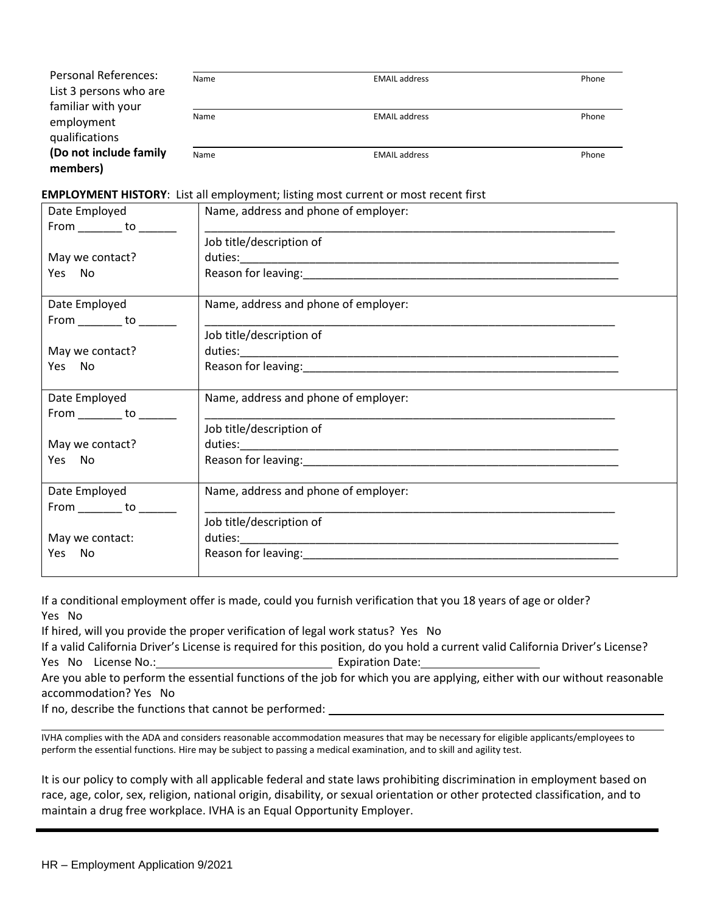| <b>Personal References:</b><br>List 3 persons who are<br>familiar with your | Name | <b>EMAIL address</b> | Phone |
|-----------------------------------------------------------------------------|------|----------------------|-------|
| employment<br>qualifications                                                | Name | <b>EMAIL address</b> | Phone |
| (Do not include family<br>members)                                          | Name | <b>EMAIL address</b> | Phone |

#### **EMPLOYMENT HISTORY**: List all employment; listing most current or most recent first

| Date Employed                                | Name, address and phone of employer: |  |
|----------------------------------------------|--------------------------------------|--|
| From _________ to _______                    |                                      |  |
|                                              | Job title/description of             |  |
| May we contact?                              |                                      |  |
| Yes No                                       |                                      |  |
| Date Employed<br>From __________ to ________ | Name, address and phone of employer: |  |
|                                              | Job title/description of             |  |
| May we contact?                              |                                      |  |
| Yes No                                       |                                      |  |
| Date Employed<br>From _________ to _______   | Name, address and phone of employer: |  |
|                                              | Job title/description of             |  |
| May we contact?                              |                                      |  |
| Yes No                                       |                                      |  |
| Date Employed                                | Name, address and phone of employer: |  |
| From __________ to ________                  |                                      |  |
|                                              | Job title/description of             |  |
| May we contact:                              |                                      |  |
| Yes<br>No                                    |                                      |  |
|                                              |                                      |  |

If a conditional employment offer is made, could you furnish verification that you 18 years of age or older? Yes No

If hired, will you provide the proper verification of legal work status? Yes No

If a valid California Driver's License is required for this position, do you hold a current valid California Driver's License? Yes No License No.: Manual Communication Date: Expiration Date:

Are you able to perform the essential functions of the job for which you are applying, either with our without reasonable accommodation? Yes No

If no, describe the functions that cannot be performed:

IVHA complies with the ADA and considers reasonable accommodation measures that may be necessary for eligible applicants/employees to perform the essential functions. Hire may be subject to passing a medical examination, and to skill and agility test.

It is our policy to comply with all applicable federal and state laws prohibiting discrimination in employment based on race, age, color, sex, religion, national origin, disability, or sexual orientation or other protected classification, and to maintain a drug free workplace. IVHA is an Equal Opportunity Employer.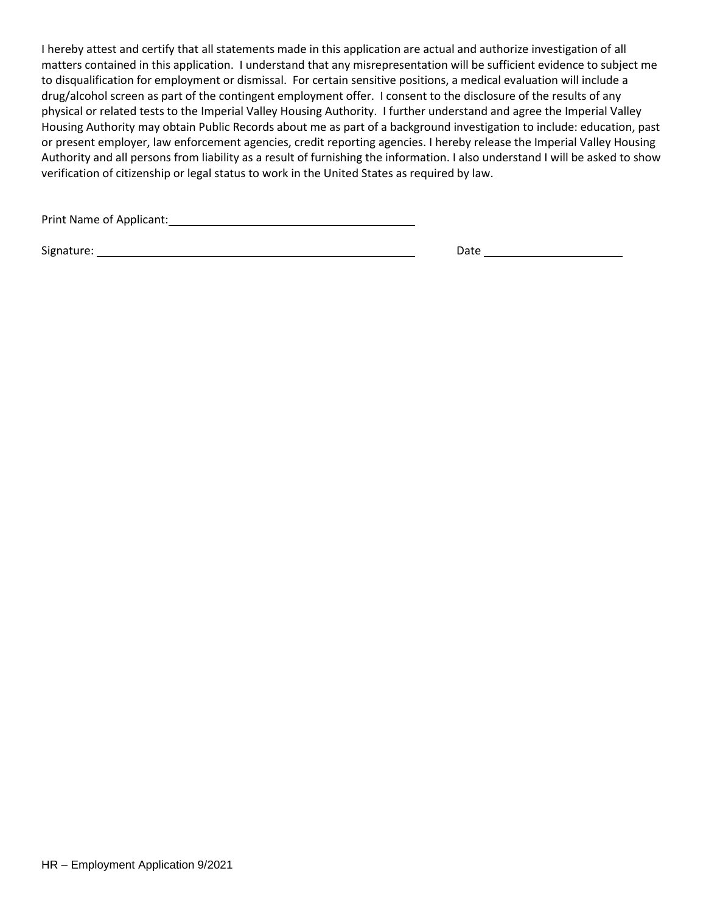I hereby attest and certify that all statements made in this application are actual and authorize investigation of all matters contained in this application. I understand that any misrepresentation will be sufficient evidence to subject me to disqualification for employment or dismissal. For certain sensitive positions, a medical evaluation will include a drug/alcohol screen as part of the contingent employment offer. I consent to the disclosure of the results of any physical or related tests to the Imperial Valley Housing Authority. I further understand and agree the Imperial Valley Housing Authority may obtain Public Records about me as part of a background investigation to include: education, past or present employer, law enforcement agencies, credit reporting agencies. I hereby release the Imperial Valley Housing Authority and all persons from liability as a result of furnishing the information. I also understand I will be asked to show verification of citizenship or legal status to work in the United States as required by law.

Print Name of Applicant: Name of Applicant: Name of Applicant: Name of Applicant: Name of Applicant: Name of Applicant: Name of Applicant: Name of Applicant: Name of Applicant: Name of Applicant: Name of Applicant: Name of

Signature: Date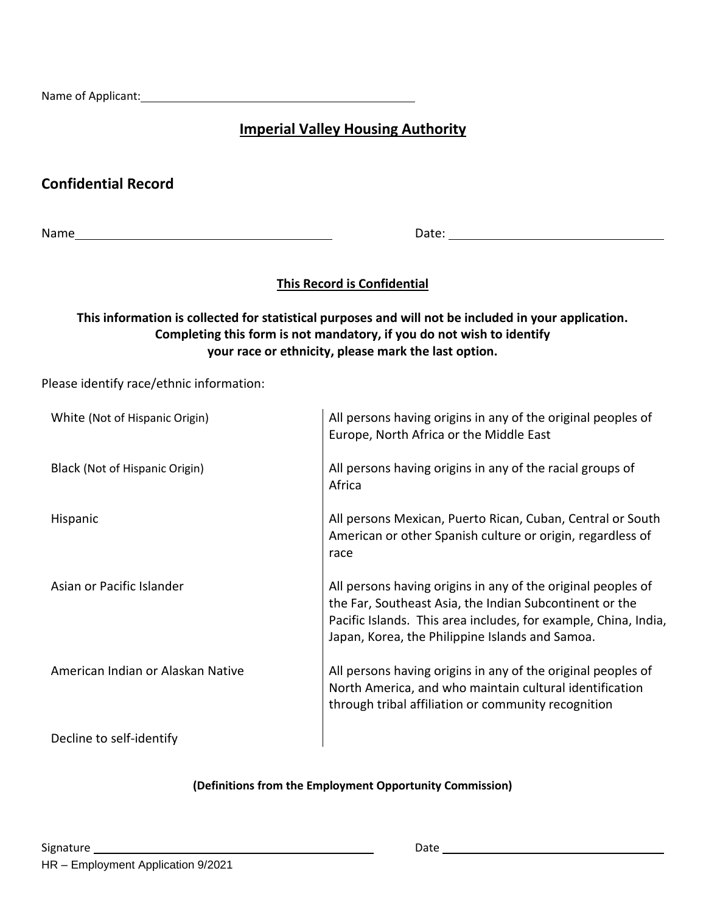Name of Applicant: Name of Applicant:

# **Imperial Valley Housing Authority**

# **Confidential Record**

Name Date: 2008 Date: 2008 Date: 2008 Date: 2008 Date: 2008 Date: 2008 Date: 2008 Date: 2008 Date: 2008 Date: 2008 Date: 2008 Date: 2008 Date: 2008 Date: 2008 Date: 2008 Date: 2008 Date: 2008 Date: 2008 Date: 2008 Date: 20

# **This Record is Confidential**

# **This information is collected for statistical purposes and will not be included in your application. Completing this form is not mandatory, if you do not wish to identify your race or ethnicity, please mark the last option.**

Please identify race/ethnic information:

| White (Not of Hispanic Origin)    | All persons having origins in any of the original peoples of<br>Europe, North Africa or the Middle East                                                                                                                                       |
|-----------------------------------|-----------------------------------------------------------------------------------------------------------------------------------------------------------------------------------------------------------------------------------------------|
| Black (Not of Hispanic Origin)    | All persons having origins in any of the racial groups of<br>Africa                                                                                                                                                                           |
| Hispanic                          | All persons Mexican, Puerto Rican, Cuban, Central or South<br>American or other Spanish culture or origin, regardless of<br>race                                                                                                              |
| Asian or Pacific Islander         | All persons having origins in any of the original peoples of<br>the Far, Southeast Asia, the Indian Subcontinent or the<br>Pacific Islands. This area includes, for example, China, India,<br>Japan, Korea, the Philippine Islands and Samoa. |
| American Indian or Alaskan Native | All persons having origins in any of the original peoples of<br>North America, and who maintain cultural identification<br>through tribal affiliation or community recognition                                                                |
| Decline to self-identify          |                                                                                                                                                                                                                                               |

### **(Definitions from the Employment Opportunity Commission)**